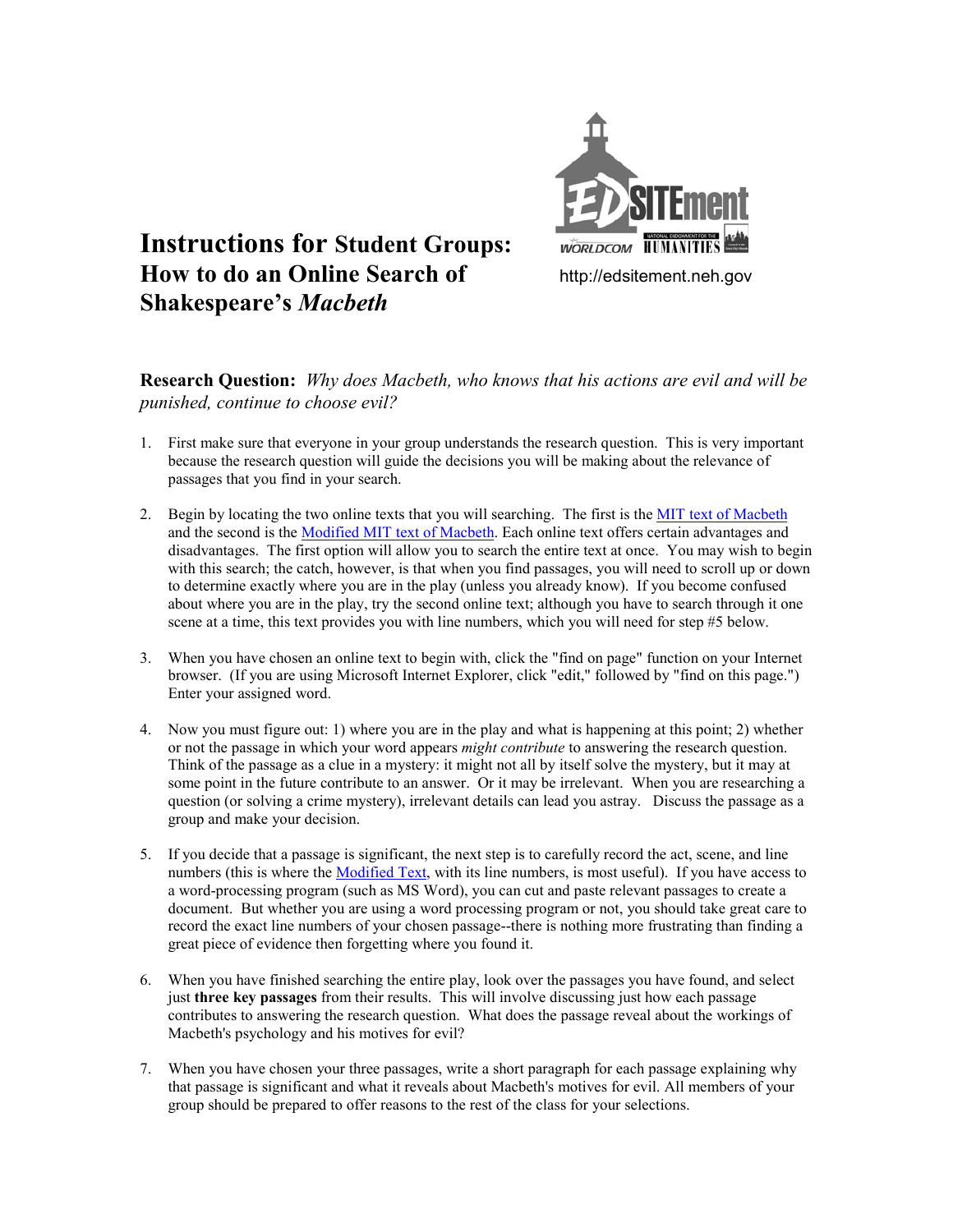

## **Instructions for Student Groups: How to do an Online Search of** http://edsitement.neh.gov **Shakespeare's** *Macbeth*

**Research Question:** *Why does Macbeth, who knows that his actions are evil and will be punished, continue to choose evil?* 

- 1. First make sure that everyone in your group understands the research question. This is very important because the research question will guide the decisions you will be making about the relevance of passages that you find in your search.
- 2. Begin by locating the two online texts that you will searching. The first is the [MIT text of Macbeth](http://tech-two.mit.edu/Shakespeare/macbeth/full.html) and the second is the [Modified MIT text of Macbeth.](http://www.engl.uvic.ca/Faculty/MBHomePage/ISShakespeare/Mac/Mac.TOC.html) Each online text offers certain advantages and disadvantages. The first option will allow you to search the entire text at once. You may wish to begin with this search; the catch, however, is that when you find passages, you will need to scroll up or down to determine exactly where you are in the play (unless you already know). If you become confused about where you are in the play, try the second online text; although you have to search through it one scene at a time, this text provides you with line numbers, which you will need for step #5 below.
- 3. When you have chosen an online text to begin with, click the "find on page" function on your Internet browser. (If you are using Microsoft Internet Explorer, click "edit," followed by "find on this page.") Enter your assigned word.
- 4. Now you must figure out: 1) where you are in the play and what is happening at this point; 2) whether or not the passage in which your word appears *might contribute* to answering the research question. Think of the passage as a clue in a mystery: it might not all by itself solve the mystery, but it may at some point in the future contribute to an answer. Or it may be irrelevant. When you are researching a question (or solving a crime mystery), irrelevant details can lead you astray. Discuss the passage as a group and make your decision.
- 5. If you decide that a passage is significant, the next step is to carefully record the act, scene, and line numbers (this is where the [Modified Text,](http://www.engl.uvic.ca/Faculty/MBHomePage/ISShakespeare/Mac/Mac.TOC.html) with its line numbers, is most useful). If you have access to a word-processing program (such as MS Word), you can cut and paste relevant passages to create a document. But whether you are using a word processing program or not, you should take great care to record the exact line numbers of your chosen passage--there is nothing more frustrating than finding a great piece of evidence then forgetting where you found it.
- 6. When you have finished searching the entire play, look over the passages you have found, and select just **three key passages** from their results. This will involve discussing just how each passage contributes to answering the research question. What does the passage reveal about the workings of Macbeth's psychology and his motives for evil?
- 7. When you have chosen your three passages, write a short paragraph for each passage explaining why that passage is significant and what it reveals about Macbeth's motives for evil. All members of your group should be prepared to offer reasons to the rest of the class for your selections.